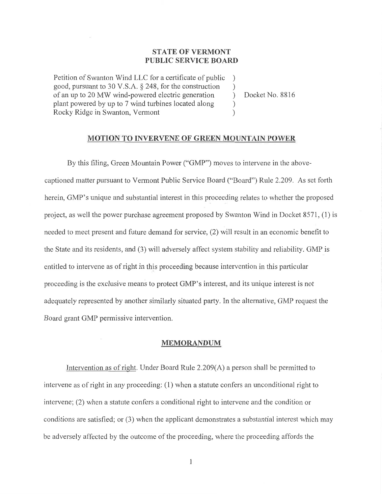## **STATE OF VERMONT PUBLIC SERVICE BOARD**

**Petition of Swanton Wind LLC for a certificate of public good, pursuant to 30 V.S.A. § 248, for the construction of an up to 20 MW wind-powered electric generation plant powered by up to 7 wind turbines located along Rocky Ridge in Swanton, Vermont** 

**Docket No. 8816** 

 $\lambda$  $\lambda$  $\lambda$  $\lambda$  $\mathcal{E}$ 

## **MOTION TO INVERVENE OF GREEN MOUNTAIN POWER**

**By this filing, Green Mountain Power ("GMP") moves to intervene in the abovecaptioned matter pursuant to Vermont Public Service Board ("Board") Rule 2.209. As set forth herein, GMP's unique and substantial interest in this proceeding** relates to whether the proposed project, as **well the power purchase agreement proposed by** Swanton Wind in Docket 8571, (1) is needed to meet present and future **demand for service, (2) will result in** an economic benefit to the State and its residents, and (3) will adversely **affect system stability and reliability. GMP is**  entitled to intervene **as of right in this proceeding because intervention in this particular proceeding is the exclusive means to protect GMP's interest, and its unique interest is not adequately represented by another similarly situated party. In the alternative, GMP request the Board grant GMP permissive intervention.** 

## **MEMORANDUM**

**Intervention as of right. Under Board Rule 2.209(A)** a person shall be permitted to intervene as of right in any proceeding: **(1)** when a statute confers an unconditional right to intervene; (2) when a statute confers a conditional **right to intervene and the condition** or conditions are **satisfied; or** (3) when **the applicant demonstrates a substantial interest** which may be adversely affected by the outcome **of the proceeding, where** the proceeding affords the

**1**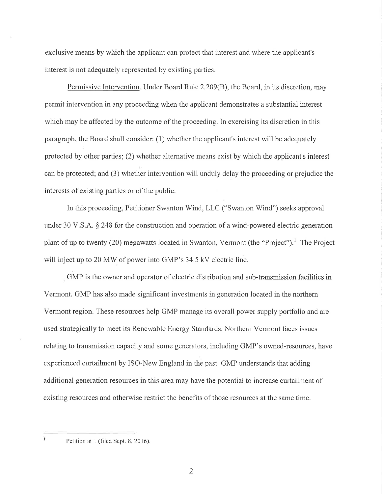exclusive means by which the applicant can protect that interest and where the applicant's interest is not adequately represented by existing parties.

Permissive Intervention. Under Board Rule 2.209(B), the Board, in its discretion, may permit intervention in any proceeding when the applicant demonstrates a substantial interest which may be affected by the outcome of the proceeding. In exercising its discretion in this paragraph, the Board shall consider: (1) whether the applicant's interest will be adequately protected by other parties; (2) whether alternative means exist by which the applicant's interest can be protected; and (3) whether intervention will unduly delay the proceeding or prejudice the interests of existing parties or of the public.

In this proceeding, Petitioner Swanton Wind, LLC ("Swanton Wind") seeks approval under 30 V.S.A. § 248 for the construction and operation of a wind-powered electric generation plant of up to twenty (20) megawatts located in Swanton, Vermont (the "Project").<sup>1</sup> The Project will inject up to 20 MW of power into GMP's 34.5 kV electric line.

GMP is the owner and operator of electric distribution and sub-transmission facilities in Vermont. GMP has also made significant investments in generation located in the northern Vermont region. These resources help GMP manage its overall power supply portfolio and are used strategically to meet its Renewable Energy Standards. Northern Vermont faces issues relating to transmission capacity and some generators, including GMP's owned-resources, have experienced curtailment by ISO-New England in the past. GMP understands that adding additional generation resources in this area may have the potential to increase curtailment of existing resources and otherwise restrict the benefits of those resources at the same time.

Petition at 1 (filed Sept. 8, 2016).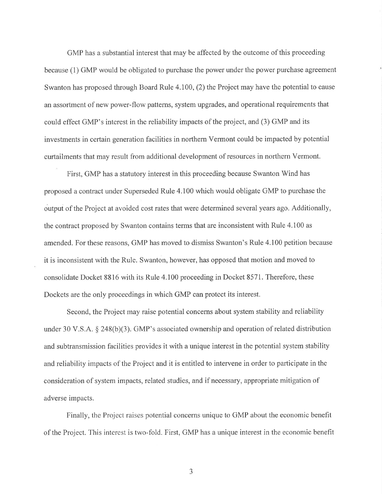GMP has a substantial interest that may be affected by the outcome of this proceeding because (1) GMP would be obligated to purchase the power under the power purchase agreement Swanton has proposed through Board Rule 4.100, (2) the Project may have the potential to cause an assortment of new power-flow patterns, system upgrades, and operational requirements that could effect GMP's interest in the reliability impacts of the project, and (3) GMP and its investments in certain generation facilities in northern Vermont could be impacted by potential curtailments that may result from additional development of resources in northern Vermont.

First, GMP has a statutory interest in this proceeding because Swanton Wind has proposed a contract under Superseded Rule 4.100 which would obligate GMP to purchase the output of the Project at avoided cost rates that were determined several years ago. Additionally, the contract proposed by Swanton contains terms that are inconsistent with Rule 4.100 as amended. For these reasons, GMP has moved to dismiss Swanton's Rule 4.100 petition because it is inconsistent with the Rule. Swanton, however, has opposed that motion and moved to consolidate Docket 8816 with its Rule 4.100 proceeding in Docket 8571. Therefore, these Dockets are the only proceedings in which GMP can protect its interest.

Second, the Project may raise potential concerns about system stability and reliability under 30 V.S.A. § 248(b)(3). GMP's associated ownership and operation of related distribution and subtransmission facilities provides it with a unique interest in the potential system stability and reliability impacts of the Project and it is entitled to intervene in order to participate in the consideration of system impacts, related studies, and if necessary, appropriate mitigation of adverse impacts.

Finally, the Project raises potential concerns unique to GMP about the economic benefit of the Project. This interest is two-fold. First, GMP has a unique interest in the economic benefit

3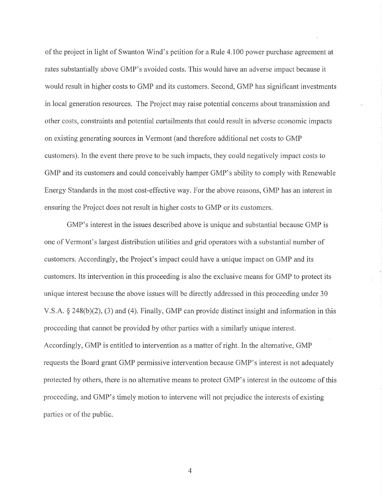of the project in light of Swanton Wind's petition for a Rule 4.100 power purchase agreement at rates substantially above GMP's avoided costs. This would have an adverse impact because it would result in higher costs to GMP and its customers. Second, GMP has significant investments in local generation resources. The Project may raise potential concerns about transmission and other costs, constraints and potential curtailments that could result in adverse economic impacts on existing generating sources in Vermont (and therefore additional net costs to GMP customers). In the event there prove to be such impacts, they could negatively impact costs to GMP and its customers and could conceivably hamper GMP's ability to comply with Renewable Energy Standards in the most cost-effective way. For the above reasons, GMP has an interest in ensuring the Project does not result in higher costs to GMP or its customers.

GMP's interest in the issues described above is unique and substantial because GMP is one of Vermont's largest distribution utilities and grid operators with a substantial number of customers. Accordingly, the Project's impact could have a unique impact on GMP and its customers. Its intervention in this proceeding is also the exclusive means for GMP to protect its unique interest because the above issues will be directly addressed in this proceeding under 30 V.S.A. § 248(b)(2), (3) and (4). Finally, GMP can provide distinct insight and information in this proceeding that cannot be provided by other parties with a similarly unique interest. Accordingly, GMP is entitled to intervention as a matter of right. In the alternative, GMP requests the Board grant GMP permissive intervention because GMP's interest is not adequately protected by others, there is no alternative means to protect GMP's interest in the outcome of this proceeding, and GMP's timely motion to intervene will not prejudice the interests of existing parties or of the public.

4